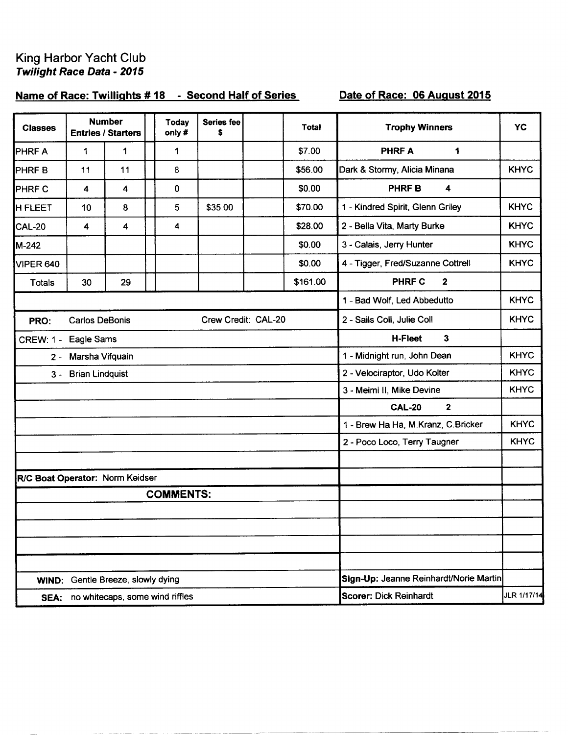## King Harbor Yacht Club Twilight Race Data - 2015

# Name of Race: Twillights #18 - Second Half of Series

## Date of Race: 06 August 2015

| <b>Classes</b>                  |                       | <b>Number</b><br><b>Entries / Starters</b> | <b>Today</b><br>only# | <b>Series fee</b><br>\$ | <b>Total</b> | <b>Trophy Winners</b>                  | <b>YC</b>   |
|---------------------------------|-----------------------|--------------------------------------------|-----------------------|-------------------------|--------------|----------------------------------------|-------------|
| PHRF A                          | 1                     | 1                                          | 1                     |                         | \$7.00       | <b>PHRFA</b><br>1                      |             |
| PHRF <sub>B</sub>               | 11                    | 11                                         | 8                     |                         | \$56.00      | Dark & Stormy, Alicia Minana           | <b>KHYC</b> |
| PHRF C                          | 4                     | 4                                          | $\mathbf 0$           |                         | \$0.00       | PHRF B<br>4                            |             |
| <b>H FLEET</b>                  | 10                    | 8                                          | 5                     | \$35.00                 | \$70.00      | 1 - Kindred Spirit, Glenn Griley       | <b>KHYC</b> |
| <b>CAL-20</b>                   | 4                     | 4                                          | 4                     |                         | \$28.00      | 2 - Bella Vita, Marty Burke            | <b>KHYC</b> |
| M-242                           |                       |                                            |                       |                         | \$0.00       | 3 - Calais, Jerry Hunter               | <b>KHYC</b> |
| VIPER 640                       |                       |                                            |                       |                         | \$0.00       | 4 - Tigger, Fred/Suzanne Cottrell      | <b>KHYC</b> |
| Totals                          | 30                    | 29                                         |                       |                         | \$161.00     | <b>PHRF C</b><br>$\mathbf{2}$          |             |
|                                 |                       |                                            |                       |                         |              | 1 - Bad Wolf, Led Abbedutto            | <b>KHYC</b> |
| PRO:                            | <b>Carlos DeBonis</b> |                                            |                       | Crew Credit: CAL-20     |              | 2 - Sails Coll, Julie Coll             | <b>KHYC</b> |
| CREW: 1 - Eagle Sams            |                       |                                            |                       |                         |              | 3<br><b>H-Fleet</b>                    |             |
|                                 | 2 - Marsha Vifquain   |                                            |                       |                         |              | 1 - Midnight run, John Dean            | <b>KHYC</b> |
|                                 | 3 - Brian Lindquist   |                                            |                       |                         |              | 2 - Velociraptor, Udo Kolter           | <b>KHYC</b> |
|                                 |                       |                                            |                       |                         |              | 3 - Meimi II, Mike Devine              | <b>KHYC</b> |
|                                 |                       |                                            |                       |                         |              | $\mathbf{2}$<br><b>CAL-20</b>          |             |
|                                 |                       |                                            |                       |                         |              | 1 - Brew Ha Ha, M.Kranz, C.Bricker     | <b>KHYC</b> |
|                                 |                       |                                            |                       |                         |              | 2 - Poco Loco, Terry Taugner           | <b>KHYC</b> |
|                                 |                       |                                            |                       |                         |              |                                        |             |
| R/C Boat Operator: Norm Keidser |                       |                                            |                       |                         |              |                                        |             |
|                                 |                       |                                            | <b>COMMENTS:</b>      |                         |              |                                        |             |
|                                 |                       |                                            |                       |                         |              |                                        |             |
|                                 |                       |                                            |                       |                         |              |                                        |             |
|                                 |                       |                                            |                       |                         |              |                                        |             |
|                                 |                       | WIND: Gentle Breeze, slowly dying          |                       |                         |              | Sign-Up: Jeanne Reinhardt/Norie Martin |             |
|                                 |                       | SEA: no whitecaps, some wind riffles       |                       |                         |              | <b>Scorer: Dick Reinhardt</b>          | JLR 1/17/14 |
|                                 |                       |                                            |                       |                         |              |                                        |             |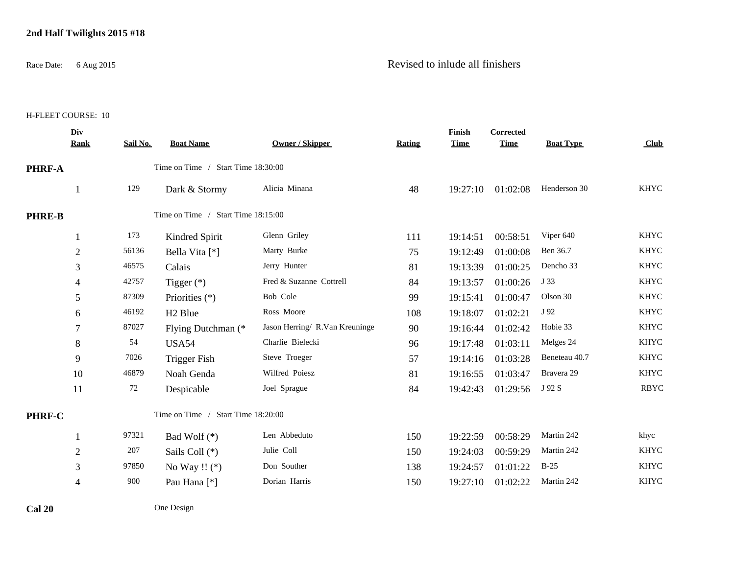#### **2nd Half Twilights 2015 #18**

## Race Date: 6 Aug 2015 Revised to inlude all finishers

H-FLEET COURSE: 10

|               | Div<br><b>Rank</b> | Sail No. | <b>Boat Name</b>                   | <b>Owner / Skipper</b>         | Rating | Finish<br><b>Time</b> | Corrected<br><b>Time</b> | <b>Boat Type</b> | Club        |
|---------------|--------------------|----------|------------------------------------|--------------------------------|--------|-----------------------|--------------------------|------------------|-------------|
| PHRF-A        |                    |          | Time on Time / Start Time 18:30:00 |                                |        |                       |                          |                  |             |
|               | $\mathbf{1}$       | 129      | Dark & Stormy                      | Alicia Minana                  | 48     | 19:27:10              | 01:02:08                 | Henderson 30     | <b>KHYC</b> |
| <b>PHRE-B</b> |                    |          | Time on Time / Start Time 18:15:00 |                                |        |                       |                          |                  |             |
|               | 1                  | 173      | Kindred Spirit                     | Glenn Griley                   | 111    | 19:14:51              | 00:58:51                 | Viper 640        | <b>KHYC</b> |
|               | $\sqrt{2}$         | 56136    | Bella Vita [*]                     | Marty Burke                    | 75     | 19:12:49              | 01:00:08                 | Ben 36.7         | <b>KHYC</b> |
|               | 3                  | 46575    | Calais                             | Jerry Hunter                   | 81     | 19:13:39              | 01:00:25                 | Dencho 33        | <b>KHYC</b> |
|               | 4                  | 42757    | Tigger $(*)$                       | Fred & Suzanne Cottrell        | 84     | 19:13:57              | 01:00:26                 | J 33             | <b>KHYC</b> |
|               | 5                  | 87309    | Priorities (*)                     | Bob Cole                       | 99     | 19:15:41              | 01:00:47                 | Olson 30         | <b>KHYC</b> |
|               | 6                  | 46192    | H <sub>2</sub> Blue                | Ross Moore                     | 108    | 19:18:07              | 01:02:21                 | J 92             | <b>KHYC</b> |
|               | 7                  | 87027    | Flying Dutchman (*                 | Jason Herring/ R.Van Kreuninge | 90     | 19:16:44              | 01:02:42                 | Hobie 33         | <b>KHYC</b> |
|               | $\,8\,$            | 54       | <b>USA54</b>                       | Charlie Bielecki               | 96     | 19:17:48              | 01:03:11                 | Melges 24        | <b>KHYC</b> |
|               | 9                  | 7026     | <b>Trigger Fish</b>                | Steve Troeger                  | 57     | 19:14:16              | 01:03:28                 | Beneteau 40.7    | <b>KHYC</b> |
|               | 10                 | 46879    | Noah Genda                         | Wilfred Poiesz                 | 81     | 19:16:55              | 01:03:47                 | Bravera 29       | <b>KHYC</b> |
|               | 11                 | 72       | Despicable                         | Joel Sprague                   | 84     | 19:42:43              | 01:29:56                 | J 92 S           | <b>RBYC</b> |
| PHRF-C        |                    |          | Time on Time / Start Time 18:20:00 |                                |        |                       |                          |                  |             |
|               | 1                  | 97321    | Bad Wolf $(*)$                     | Len Abbeduto                   | 150    | 19:22:59              | 00:58:29                 | Martin 242       | khyc        |
|               | $\overline{2}$     | 207      | Sails Coll (*)                     | Julie Coll                     | 150    | 19:24:03              | 00:59:29                 | Martin 242       | <b>KHYC</b> |
|               | 3                  | 97850    | No Way !! $(*)$                    | Don Souther                    | 138    | 19:24:57              | 01:01:22                 | $B-25$           | <b>KHYC</b> |
|               | 4                  | 900      | Pau Hana <sup>[*]</sup>            | Dorian Harris                  | 150    | 19:27:10              | 01:02:22                 | Martin 242       | <b>KHYC</b> |
|               |                    |          |                                    |                                |        |                       |                          |                  |             |